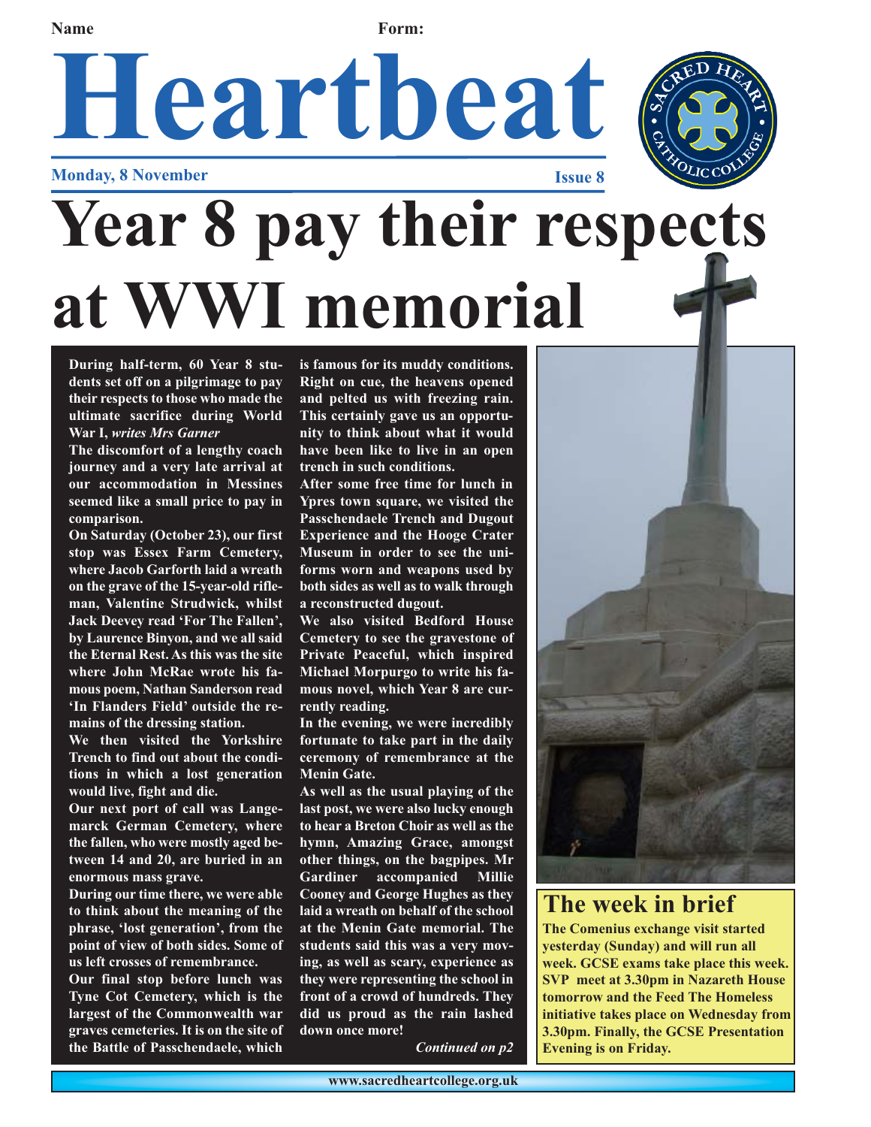# **Name Form:**

# Heartbeat

**Monday, 8 November** 

# **Year 8 pay their respects at WWI memorial**

**During half-term, 60 Year 8 students set off on a pilgrimage to pay their respects to those who made the ultimate sacrifice during World War I,** *writes Mrs Garner*

**The discomfort of a lengthy coach journey and a very late arrival at our accommodation in Messines seemed like a small price to pay in comparison.**

**On Saturday (October 23), our first stop was Essex Farm Cemetery, where Jacob Garforth laid a wreath on the grave of the 15-year-old rifleman, Valentine Strudwick, whilst Jack Deevey read 'For The Fallen', by Laurence Binyon, and we all said the Eternal Rest. As this was the site where John McRae wrote his famous poem, Nathan Sanderson read 'In Flanders Field' outside the remains of the dressing station.**

**We then visited the Yorkshire Trench to find out about the conditions in which a lost generation would live, fight and die.**

**Our next port of call was Langemarck German Cemetery, where the fallen, who were mostly aged between 14 and 20, are buried in an enormous mass grave.**

**During our time there, we were able to think about the meaning of the phrase, 'lost generation', from the point of view of both sides. Some of us left crosses of remembrance.**

**Our final stop before lunch was Tyne Cot Cemetery, which is the largest of the Commonwealth war graves cemeteries. It is on the site of the Battle of Passchendaele, which**

**is famous for its muddy conditions. Right on cue, the heavens opened and pelted us with freezing rain. This certainly gave us an opportunity to think about what it would have been like to live in an open trench in such conditions.**

**After some free time for lunch in Ypres town square, we visited the Passchendaele Trench and Dugout Experience and the Hooge Crater Museum in order to see the uniforms worn and weapons used by both sides as well as to walk through a reconstructed dugout.**

**We also visited Bedford House Cemetery to see the gravestone of Private Peaceful, which inspired Michael Morpurgo to write his famous novel, which Year 8 are currently reading.**

**In the evening, we were incredibly fortunate to take part in the daily ceremony of remembrance at the Menin Gate.**

**As well as the usual playing of the last post, we were also lucky enough to hear a Breton Choir as well as the hymn, Amazing Grace, amongst other things, on the bagpipes. Mr Gardiner accompanied Millie Cooney and George Hughes as they laid a wreath on behalf of the school at the Menin Gate memorial. The students said this was a very moving, as well as scary, experience as they were representing the school in front of a crowd of hundreds. They did us proud as the rain lashed down once more!**

*Continued on p2*



# **The week in brief**

**The Comenius exchange visit started yesterday (Sunday) and will run all week. GCSE exams take place this week. SVP meet at 3.30pm in Nazareth House tomorrow and the Feed The Homeless initiative takes place on Wednesday from 3.30pm. Finally, the GCSE Presentation Evening is on Friday.**